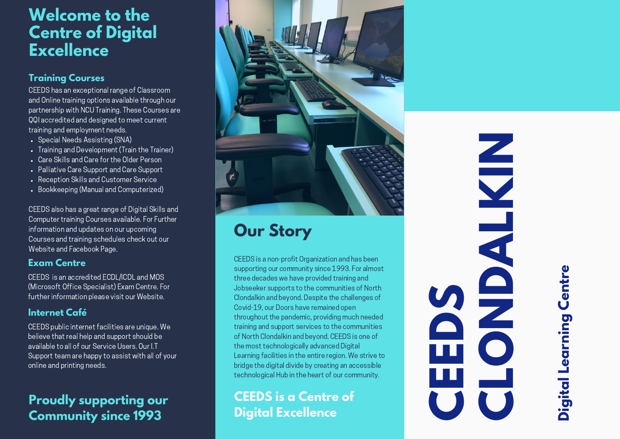# **Welcome to the C e n t r e o f D i g i t a l E x c e l l e n c e**

**Training Courses**<br>CEEDS has an exceptional range of Classroor<br>and Online training options available through<br>partnership with NCU Training. These Course-<br>QQI accredited and designed to meet current<br>training and employment CEEDS has an exceptional range of Classroom and Online training options available through our partnership with NCU Training. These Courses are QQI accredited and designed to meet current training and employment needs.

- 
- er)
- Care Skills and Care for the Older Person
- Palliative Care Support and Care Support
- Reception Skills and Customer Service
- Bookkeeping (Manual and Computerized)

CEEDS also has a great range of Digital Skills and Computer training Courses available. For Further information and updates on our upcoming Courses and training schedules check out our Website and Facebook Page.

#### **E x a m C e n t r e**

CEEDS is an accredited ECDL/ICDL and MOS (Microsoft Office Specialist) Exam Centre, For further information please visit our Websit

### **I n t e r n e t C a fé**

CEEDS public internet facilities are unique. We believe that real help and support should be available to all of our Service Users. Our I.T Support team are happy to assist with all of your online and printing needs.

# **Proudly supporting our Community since 1993**



CEEDS is a non-profit Organization and has been supporting our community since 1993. For almost three decades we have provided training and Jobseeker supports to the communities of North Clondalkin and bevond. Despite the challenges of Covid-19, our Doors have remained open throughout the pandemic, providing much needed training and support services to the communities of North Clondalkin and bevond. CEEDS is one of the most technologically advanced Digital Learning facilities in the entire region. We strive to bridge the digital divide by creating an accessible technological Hub in the heart of our community **CEEDS is a non-profit Organization and has been supporting our community since 1993. For almost<br>three decades we have provided training and Jobseeker supports to the communities of North<br>Clondalkin and beyond. Despite the** 

**CEEDS is a Centre of Digital Excellence**

# **CEEDS CLONDALKIN**

**Digital Learning Centre**